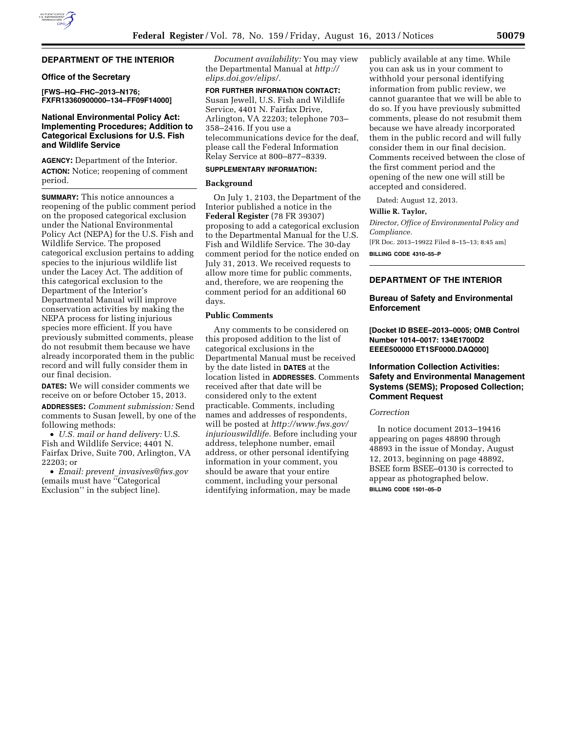## **DEPARTMENT OF THE INTERIOR**

## **Office of the Secretary**

**[FWS–HQ–FHC–2013–N176; FXFR13360900000–134–FF09F14000]** 

### **National Environmental Policy Act: Implementing Procedures; Addition to Categorical Exclusions for U.S. Fish and Wildlife Service**

**AGENCY:** Department of the Interior. **ACTION:** Notice; reopening of comment period.

**SUMMARY:** This notice announces a reopening of the public comment period on the proposed categorical exclusion under the National Environmental Policy Act (NEPA) for the U.S. Fish and Wildlife Service. The proposed categorical exclusion pertains to adding species to the injurious wildlife list under the Lacey Act. The addition of this categorical exclusion to the Department of the Interior's Departmental Manual will improve conservation activities by making the NEPA process for listing injurious species more efficient. If you have previously submitted comments, please do not resubmit them because we have already incorporated them in the public record and will fully consider them in our final decision.

**DATES:** We will consider comments we receive on or before October 15, 2013.

**ADDRESSES:** *Comment submission:* Send comments to Susan Jewell, by one of the following methods:

• *U.S. mail or hand delivery:* U.S. Fish and Wildlife Service; 4401 N. Fairfax Drive, Suite 700, Arlington, VA 22203; or

• *Email: prevent*\_*[invasives@fws.gov](mailto:prevent_invasives@fws.gov)*  (emails must have ''Categorical Exclusion'' in the subject line).

*Document availability:* You may view the Departmental Manual at *[http://](http://elips.doi.gov/elips/) [elips.doi.gov/elips/.](http://elips.doi.gov/elips/)* 

**FOR FURTHER INFORMATION CONTACT:**  Susan Jewell, U.S. Fish and Wildlife Service, 4401 N. Fairfax Drive, Arlington, VA 22203; telephone 703– 358–2416. If you use a telecommunications device for the deaf, please call the Federal Information Relay Service at 800–877–8339.

## **SUPPLEMENTARY INFORMATION:**

## **Background**

On July 1, 2103, the Department of the Interior published a notice in the **Federal Register** (78 FR 39307) proposing to add a categorical exclusion to the Departmental Manual for the U.S. Fish and Wildlife Service. The 30-day comment period for the notice ended on July 31, 2013. We received requests to allow more time for public comments, and, therefore, we are reopening the comment period for an additional 60 days.

# **Public Comments**

Any comments to be considered on this proposed addition to the list of categorical exclusions in the Departmental Manual must be received by the date listed in **DATES** at the location listed in **ADDRESSES**. Comments received after that date will be considered only to the extent practicable. Comments, including names and addresses of respondents, will be posted at *[http://www.fws.gov/](http://www.fws.gov/injuriouswildlife) [injuriouswildlife.](http://www.fws.gov/injuriouswildlife)* Before including your address, telephone number, email address, or other personal identifying information in your comment, you should be aware that your entire comment, including your personal identifying information, may be made

publicly available at any time. While you can ask us in your comment to withhold your personal identifying information from public review, we cannot guarantee that we will be able to do so. If you have previously submitted comments, please do not resubmit them because we have already incorporated them in the public record and will fully consider them in our final decision. Comments received between the close of the first comment period and the opening of the new one will still be accepted and considered.

Dated: August 12, 2013.

## **Willie R. Taylor,**

*Director, Office of Environmental Policy and Compliance.* 

[FR Doc. 2013–19922 Filed 8–15–13; 8:45 am]

**BILLING CODE 4310–55–P** 

# **DEPARTMENT OF THE INTERIOR**

## **Bureau of Safety and Environmental Enforcement**

**[Docket ID BSEE–2013–0005; OMB Control Number 1014–0017: 134E1700D2 EEEE500000 ET1SF0000.DAQ000]** 

## **Information Collection Activities: Safety and Environmental Management Systems (SEMS); Proposed Collection; Comment Request**

# *Correction*

In notice document 2013–19416 appearing on pages 48890 through 48893 in the issue of Monday, August 12, 2013, beginning on page 48892, BSEE form BSEE–0130 is corrected to appear as photographed below. **BILLING CODE 1501–05–D**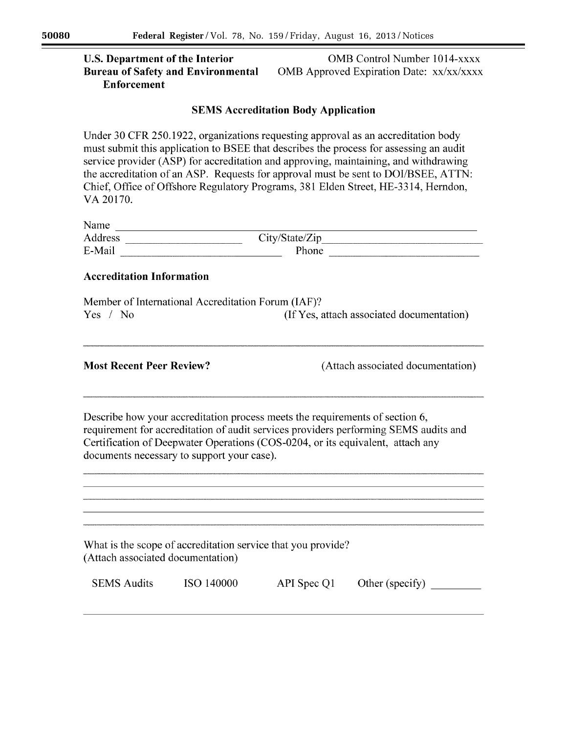# **U.S. Department of the Interior Bureau of Safety and Environmental Enforcement**

**OMB** Control Number 1014-xxxx OMB Approved Expiration Date: xx/xx/xxxx

# **SEMS Accreditation Body Application**

Under 30 CFR 250.1922, organizations requesting approval as an accreditation body must submit this application to BSEE that describes the process for assessing an audit service provider (ASP) for accreditation and approving, maintaining, and withdrawing the accreditation of an ASP. Requests for approval must be sent to DOI/BSEE, ATTN: Chief, Office of Offshore Regulatory Programs, 381 Elden Street, HE-3314, Herndon, VA 20170.

| Name    |                             |                                        |  |
|---------|-----------------------------|----------------------------------------|--|
| Address | -----------------------<br> | $1 -$<br>`ity/Ntate/<br>state/Zip<br>∼ |  |
| E-Main  |                             | Phone                                  |  |

# **Accreditation Information**

| Member of International Accreditation Forum (IAF)? |                                           |
|----------------------------------------------------|-------------------------------------------|
| Yes / No                                           | (If Yes, attach associated documentation) |

## **Most Recent Peer Review?**

(Attach associated documentation)

Describe how your accreditation process meets the requirements of section 6, requirement for accreditation of audit services providers performing SEMS audits and Certification of Deepwater Operations (COS-0204, or its equivalent, attach any documents necessary to support your case).

What is the scope of accreditation service that you provide? (Attach associated documentation)

| <b>SEMS</b> Audits | ISO 140000 | API Spec Q1 | Other (specify) |
|--------------------|------------|-------------|-----------------|
|                    |            |             |                 |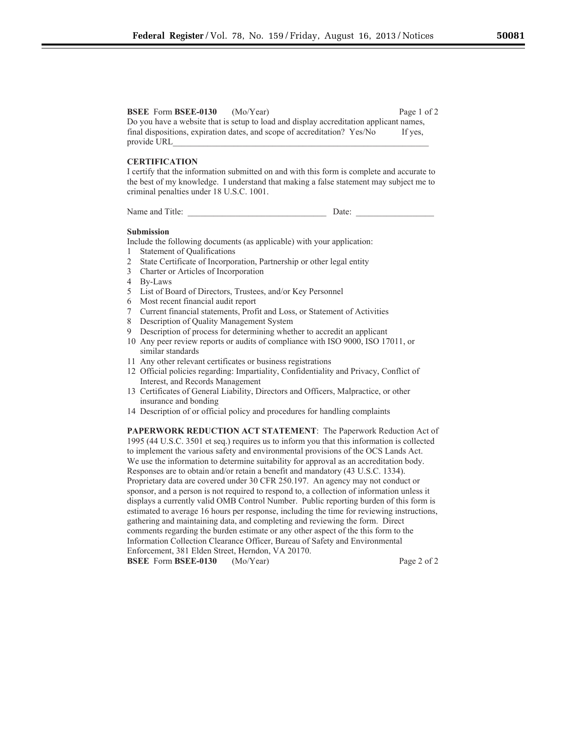### **BSEE** Form **BSEE-0130** (Mo/Year) Page 1 of 2

Do you have a website that is setup to load and display accreditation applicant names, final dispositions, expiration dates, and scope of accreditation? Yes/No If yes, provide URL

### **CERTIFICATION**

I certify that the information submitted on and with this form is complete and accurate to the best of my knowledge. I understand that making a false statement may subject me to criminal penalties under 18 U.S.C. 1001.

Name and Title: **Date: Date:** 

#### **Submission**

Include the following documents (as applicable) with your application:

- 1 Statement of Qualifications
- 2 State Certificate of Incorporation, Partnership or other legal entity
- 3 Charter or Articles of Incorporation
- 4 By-Laws
- 5 List of Board of Directors, Trustees, and/or Key Personnel
- 6 Most recent financial audit report
- 7 Current financial statements, Profit and Loss, or Statement of Activities
- 8 Description of Quality Management System
- 9 Description of process for determining whether to accredit an applicant
- 10 Any peer review reports or audits of compliance with ISO 9000, ISO 17011, or similar standards
- 11 Any other relevant certificates or business registrations
- 12 Official policies regarding: Impartiality, Confidentiality and Privacy, Conflict of Interest, and Records Management
- 13 Certificates of General Liability, Directors and Officers, Malpractice, or other insurance and bonding
- 14 Description of or official policy and procedures for handling complaints

**PAPERWORK REDUCTION ACT STATEMENT**: The Paperwork Reduction Act of 1995 (44 U.S.C. 3501 et seq.) requires us to inform you that this information is collected to implement the various safety and environmental provisions of the OCS Lands Act. We use the information to determine suitability for approval as an accreditation body. Responses are to obtain and/or retain a benefit and mandatory (43 U.S.C. 1334). Proprietary data are covered under 30 CFR 250.197. An agency may not conduct or sponsor, and a person is not required to respond to, a collection of information unless it displays a currently valid OMB Control Number. Public reporting burden of this form is estimated to average 16 hours per response, including the time for reviewing instructions, gathering and maintaining data, and completing and reviewing the form. Direct comments regarding the burden estimate or any other aspect of the this form to the Information Collection Clearance Officer, Bureau of Safety and Environmental Enforcement, 381 Elden Street, Herndon, VA 20170. **BSEE** Form **BSEE-0130** (Mo/Year) Page 2 of 2